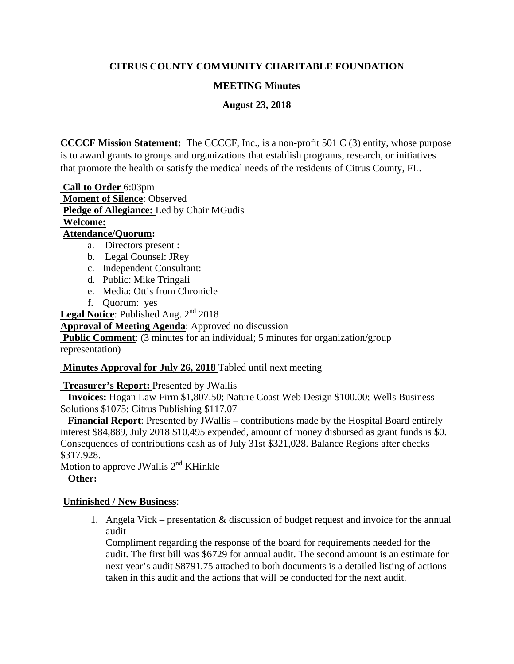# **CITRUS COUNTY COMMUNITY CHARITABLE FOUNDATION**

## **MEETING Minutes**

**August 23, 2018**

**CCCCF Mission Statement:** The CCCCF, Inc., is a non-profit 501 C (3) entity, whose purpose is to award grants to groups and organizations that establish programs, research, or initiatives that promote the health or satisfy the medical needs of the residents of Citrus County, FL.

**Call to Order** 6:03pm **Moment of Silence**: Observed **Pledge of Allegiance:** Led by Chair MGudis **Welcome:**

# **Attendance/Quorum:**

- a. Directors present :
- b. Legal Counsel: JRey
- c. Independent Consultant:
- d. Public: Mike Tringali
- e. Media: Ottis from Chronicle
- f. Quorum: yes

Legal Notice: Published Aug. 2<sup>nd</sup> 2018

**Approval of Meeting Agenda**: Approved no discussion

**Public Comment:** (3 minutes for an individual; 5 minutes for organization/group representation)

## **Minutes Approval for July 26, 2018** Tabled until next meeting

**Treasurer's Report:** Presented by JWallis

 **Invoices:** Hogan Law Firm \$1,807.50; Nature Coast Web Design \$100.00; Wells Business Solutions \$1075; Citrus Publishing \$117.07

 **Financial Report**: Presented by JWallis – contributions made by the Hospital Board entirely interest \$84,889, July 2018 \$10,495 expended, amount of money disbursed as grant funds is \$0. Consequences of contributions cash as of July 31st \$321,028. Balance Regions after checks \$317,928.

Motion to approve JWallis  $2<sup>nd</sup>$  KHinkle **Other:**

## **Unfinished / New Business**:

1. Angela Vick – presentation & discussion of budget request and invoice for the annual audit

Compliment regarding the response of the board for requirements needed for the audit. The first bill was \$6729 for annual audit. The second amount is an estimate for next year's audit \$8791.75 attached to both documents is a detailed listing of actions taken in this audit and the actions that will be conducted for the next audit.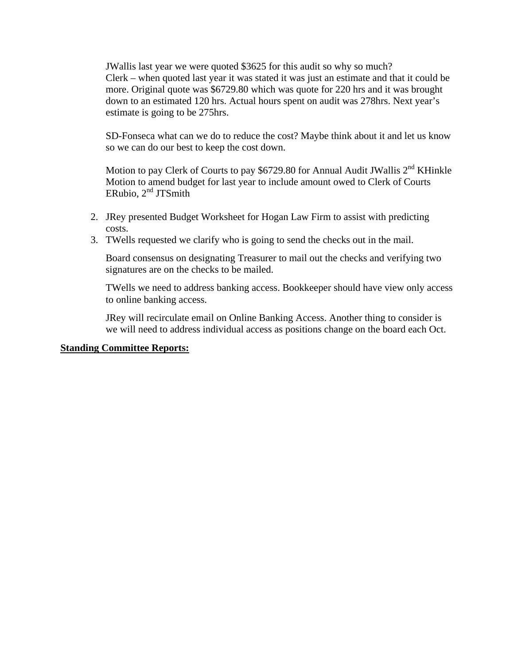JWallis last year we were quoted \$3625 for this audit so why so much? Clerk – when quoted last year it was stated it was just an estimate and that it could be more. Original quote was \$6729.80 which was quote for 220 hrs and it was brought down to an estimated 120 hrs. Actual hours spent on audit was 278hrs. Next year's estimate is going to be 275hrs.

SD-Fonseca what can we do to reduce the cost? Maybe think about it and let us know so we can do our best to keep the cost down.

Motion to pay Clerk of Courts to pay \$6729.80 for Annual Audit JWallis  $2<sup>nd</sup>$  KHinkle Motion to amend budget for last year to include amount owed to Clerk of Courts ERubio,  $2<sup>nd</sup> JTS$ mith

- 2. JRey presented Budget Worksheet for Hogan Law Firm to assist with predicting costs.
- 3. TWells requested we clarify who is going to send the checks out in the mail.

Board consensus on designating Treasurer to mail out the checks and verifying two signatures are on the checks to be mailed.

TWells we need to address banking access. Bookkeeper should have view only access to online banking access.

JRey will recirculate email on Online Banking Access. Another thing to consider is we will need to address individual access as positions change on the board each Oct.

#### **Standing Committee Reports:**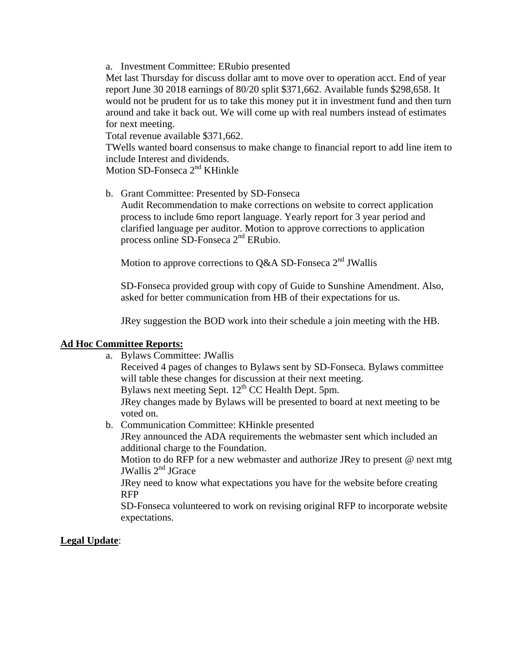a. Investment Committee: ERubio presented

Met last Thursday for discuss dollar amt to move over to operation acct. End of year report June 30 2018 earnings of 80/20 split \$371,662. Available funds \$298,658. It would not be prudent for us to take this money put it in investment fund and then turn around and take it back out. We will come up with real numbers instead of estimates for next meeting.

Total revenue available \$371,662.

TWells wanted board consensus to make change to financial report to add line item to include Interest and dividends.

Motion SD-Fonseca 2<sup>nd</sup> KHinkle

b. Grant Committee: Presented by SD-Fonseca

Audit Recommendation to make corrections on website to correct application process to include 6mo report language. Yearly report for 3 year period and clarified language per auditor. Motion to approve corrections to application process online SD-Fonseca 2nd ERubio.

Motion to approve corrections to Q&A SD-Fonseca 2<sup>nd</sup> JWallis

SD-Fonseca provided group with copy of Guide to Sunshine Amendment. Also, asked for better communication from HB of their expectations for us.

JRey suggestion the BOD work into their schedule a join meeting with the HB.

#### **Ad Hoc Committee Reports:**

a. Bylaws Committee: JWallis

Received 4 pages of changes to Bylaws sent by SD-Fonseca. Bylaws committee will table these changes for discussion at their next meeting.

Bylaws next meeting Sept.  $12<sup>th</sup>$  CC Health Dept. 5pm.

JRey changes made by Bylaws will be presented to board at next meeting to be voted on.

b. Communication Committee: KHinkle presented JRey announced the ADA requirements the webmaster sent which included an additional charge to the Foundation. Motion to do RFP for a new webmaster and authorize JRey to present @ next mtg

JWallis 2nd JGrace

JRey need to know what expectations you have for the website before creating RFP

SD-Fonseca volunteered to work on revising original RFP to incorporate website expectations.

#### **Legal Update**: